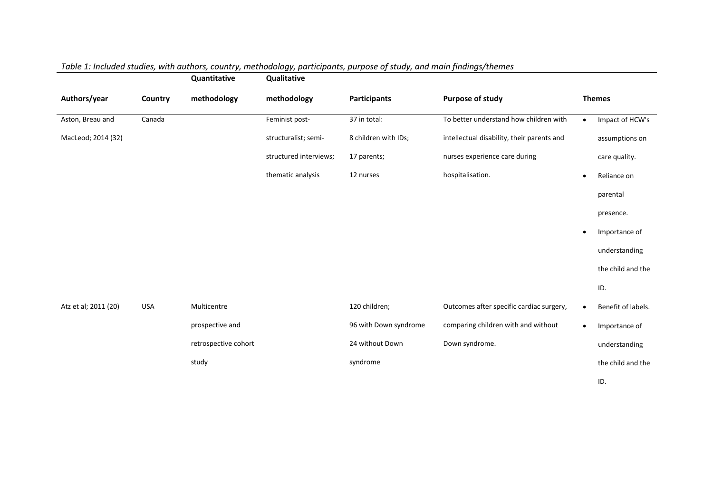|                      |            | Quantitative         | Qualitative            |                       |                                            |               |                    |
|----------------------|------------|----------------------|------------------------|-----------------------|--------------------------------------------|---------------|--------------------|
| Authors/year         | Country    | methodology          | methodology            | <b>Participants</b>   | Purpose of study                           | <b>Themes</b> |                    |
| Aston, Breau and     | Canada     |                      | Feminist post-         | 37 in total:          | To better understand how children with     | $\bullet$     | Impact of HCW's    |
| MacLeod; 2014 (32)   |            |                      | structuralist; semi-   | 8 children with IDs;  | intellectual disability, their parents and |               | assumptions on     |
|                      |            |                      | structured interviews; | 17 parents;           | nurses experience care during              |               | care quality.      |
|                      |            |                      | thematic analysis      | 12 nurses             | hospitalisation.                           |               | Reliance on        |
|                      |            |                      |                        |                       |                                            |               | parental           |
|                      |            |                      |                        |                       |                                            |               | presence.          |
|                      |            |                      |                        |                       |                                            |               | Importance of      |
|                      |            |                      |                        |                       |                                            |               | understanding      |
|                      |            |                      |                        |                       |                                            |               | the child and the  |
|                      |            |                      |                        |                       |                                            | ID.           |                    |
| Atz et al; 2011 (20) | <b>USA</b> | Multicentre          |                        | 120 children;         | Outcomes after specific cardiac surgery,   |               | Benefit of labels. |
|                      |            | prospective and      |                        | 96 with Down syndrome | comparing children with and without        | $\bullet$     | Importance of      |
|                      |            | retrospective cohort |                        | 24 without Down       | Down syndrome.                             |               | understanding      |
|                      |            | study                |                        | syndrome              |                                            |               | the child and the  |
|                      |            |                      |                        |                       |                                            | ID.           |                    |

## *Table 1: Included studies, with authors, country, methodology, participants, purpose of study, and main findings/themes*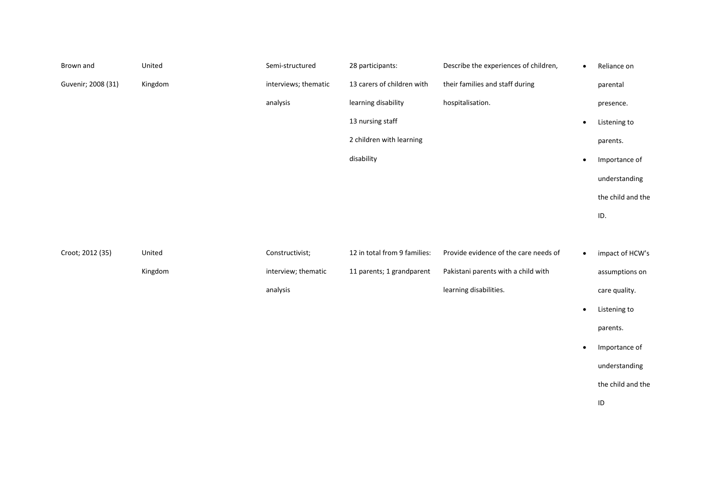| Brown and          | United  | Semi-structured      | 28 participants:             | Describe the experiences of children, | $\bullet$ | Reliance on       |
|--------------------|---------|----------------------|------------------------------|---------------------------------------|-----------|-------------------|
| Guvenir; 2008 (31) | Kingdom | interviews; thematic | 13 carers of children with   | their families and staff during       |           | parental          |
|                    |         | analysis             | learning disability          | hospitalisation.                      |           | presence.         |
|                    |         |                      | 13 nursing staff             |                                       | $\bullet$ | Listening to      |
|                    |         |                      | 2 children with learning     |                                       |           | parents.          |
|                    |         |                      | disability                   |                                       | $\bullet$ | Importance of     |
|                    |         |                      |                              |                                       |           | understanding     |
|                    |         |                      |                              |                                       |           | the child and the |
|                    |         |                      |                              |                                       |           | ID.               |
|                    |         |                      |                              |                                       |           |                   |
| Croot; 2012 (35)   | United  | Constructivist;      | 12 in total from 9 families: | Provide evidence of the care needs of | $\bullet$ | impact of HCW's   |
|                    | Kingdom | interview; thematic  | 11 parents; 1 grandparent    | Pakistani parents with a child with   |           | assumptions on    |
|                    |         | analysis             |                              | learning disabilities.                |           | care quality.     |
|                    |         |                      |                              |                                       | $\bullet$ | Listening to      |
|                    |         |                      |                              |                                       |           | parents.          |
|                    |         |                      |                              |                                       |           |                   |
|                    |         |                      |                              |                                       | $\bullet$ | Importance of     |
|                    |         |                      |                              |                                       |           | understanding     |
|                    |         |                      |                              |                                       |           | the child and the |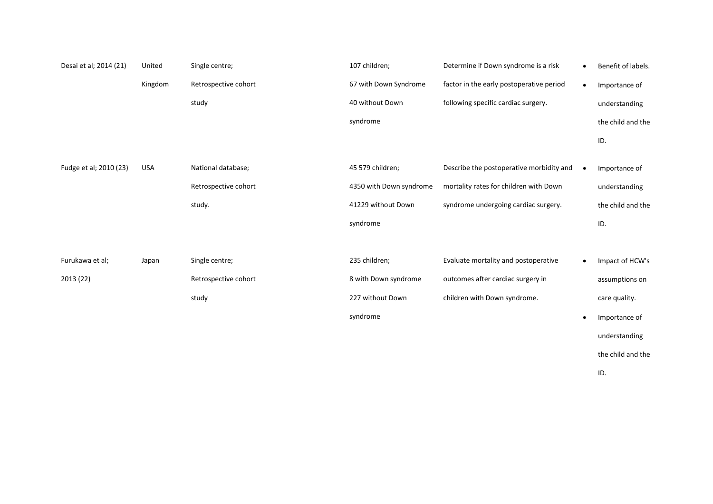| Desai et al; 2014 (21) | United     | Single centre;       | 107 children;           | Determine if Down syndrome is a risk     | $\bullet$ | Benefit of labels. |
|------------------------|------------|----------------------|-------------------------|------------------------------------------|-----------|--------------------|
|                        | Kingdom    | Retrospective cohort | 67 with Down Syndrome   | factor in the early postoperative period | $\bullet$ | Importance of      |
|                        |            | study                | 40 without Down         | following specific cardiac surgery.      |           | understanding      |
|                        |            |                      | syndrome                |                                          |           | the child and the  |
|                        |            |                      |                         |                                          |           | ID.                |
| Fudge et al; 2010 (23) | <b>USA</b> | National database;   | 45 579 children;        | Describe the postoperative morbidity and | $\bullet$ | Importance of      |
|                        |            | Retrospective cohort | 4350 with Down syndrome | mortality rates for children with Down   |           | understanding      |
|                        |            | study.               | 41229 without Down      | syndrome undergoing cardiac surgery.     |           | the child and the  |
|                        |            |                      | syndrome                |                                          |           | ID.                |
|                        |            |                      |                         |                                          |           |                    |
| Furukawa et al;        | Japan      | Single centre;       | 235 children;           | Evaluate mortality and postoperative     | $\bullet$ | Impact of HCW's    |
| 2013 (22)              |            | Retrospective cohort | 8 with Down syndrome    | outcomes after cardiac surgery in        |           | assumptions on     |
|                        |            | study                | 227 without Down        | children with Down syndrome.             |           | care quality.      |
|                        |            |                      | syndrome                |                                          | $\bullet$ | Importance of      |
|                        |            |                      |                         |                                          |           | understanding      |
|                        |            |                      |                         |                                          |           | the child and the  |

ID.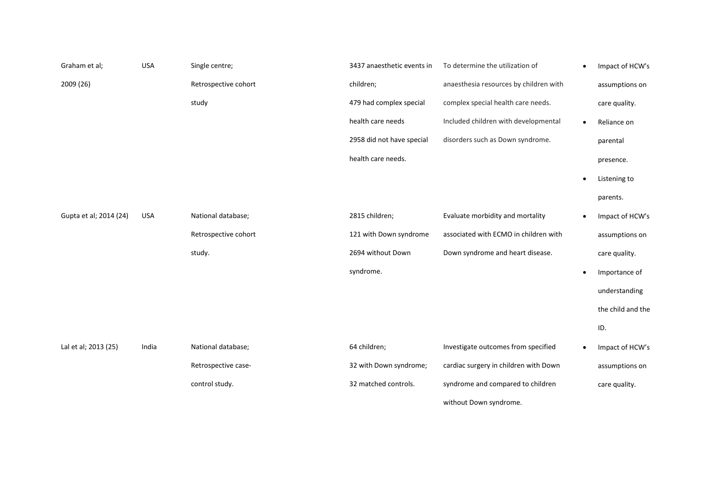| Graham et al;          | <b>USA</b> | Single centre;       | 3437 anaesthetic events in | To determine the utilization of        | $\bullet$ | Impact of HCW's   |
|------------------------|------------|----------------------|----------------------------|----------------------------------------|-----------|-------------------|
| 2009 (26)              |            | Retrospective cohort | children;                  | anaesthesia resources by children with |           | assumptions on    |
|                        |            | study                | 479 had complex special    | complex special health care needs.     |           | care quality.     |
|                        |            |                      | health care needs          | Included children with developmental   | $\bullet$ | Reliance on       |
|                        |            |                      | 2958 did not have special  | disorders such as Down syndrome.       |           | parental          |
|                        |            |                      | health care needs.         |                                        |           | presence.         |
|                        |            |                      |                            |                                        |           | Listening to      |
|                        |            |                      |                            |                                        |           | parents.          |
| Gupta et al; 2014 (24) | <b>USA</b> | National database;   | 2815 children;             | Evaluate morbidity and mortality       | ٠         | Impact of HCW's   |
|                        |            | Retrospective cohort | 121 with Down syndrome     | associated with ECMO in children with  |           | assumptions on    |
|                        |            | study.               | 2694 without Down          | Down syndrome and heart disease.       |           | care quality.     |
|                        |            |                      | syndrome.                  |                                        | $\bullet$ | Importance of     |
|                        |            |                      |                            |                                        |           | understanding     |
|                        |            |                      |                            |                                        |           | the child and the |
|                        |            |                      |                            |                                        |           | ID.               |
| Lal et al; 2013 (25)   | India      | National database;   | 64 children;               | Investigate outcomes from specified    | $\bullet$ | Impact of HCW's   |
|                        |            | Retrospective case-  | 32 with Down syndrome;     | cardiac surgery in children with Down  |           | assumptions on    |
|                        |            | control study.       | 32 matched controls.       | syndrome and compared to children      |           | care quality.     |
|                        |            |                      |                            | without Down syndrome.                 |           |                   |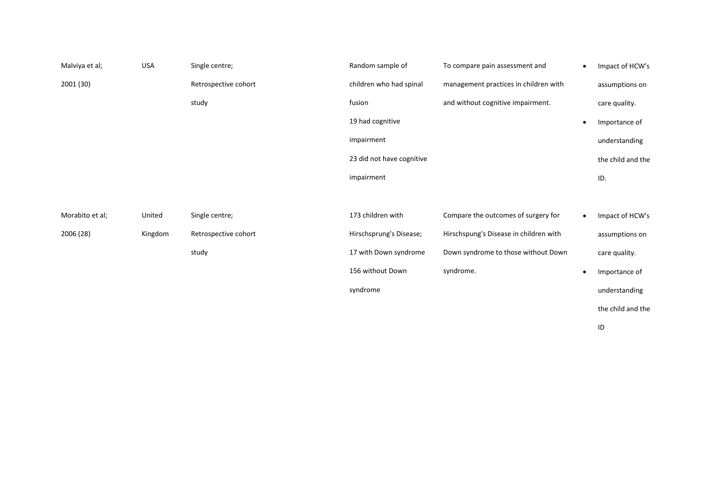| Malviya et al;  | <b>USA</b> | Single centre;       | Random sample of          | To compare pain assessment and         | $\bullet$ | Impact of HCW's   |
|-----------------|------------|----------------------|---------------------------|----------------------------------------|-----------|-------------------|
| 2001 (30)       |            | Retrospective cohort | children who had spinal   | management practices in children with  |           | assumptions on    |
|                 |            | study                | fusion                    | and without cognitive impairment.      |           | care quality.     |
|                 |            |                      | 19 had cognitive          |                                        |           | Importance of     |
|                 |            |                      | impairment                |                                        |           | understanding     |
|                 |            |                      | 23 did not have cognitive |                                        |           | the child and the |
|                 |            |                      | impairment                |                                        |           | ID.               |
|                 |            |                      |                           |                                        |           |                   |
| Morabito et al; | United     | Single centre;       | 173 children with         | Compare the outcomes of surgery for    | $\bullet$ | Impact of HCW's   |
| 2006 (28)       | Kingdom    | Retrospective cohort | Hirschsprung's Disease;   | Hirschspung's Disease in children with |           | assumptions on    |
|                 |            | study                | 17 with Down syndrome     | Down syndrome to those without Down    |           | care quality.     |
|                 |            |                      | 156 without Down          | syndrome.                              |           | Importance of     |
|                 |            |                      | syndrome                  |                                        |           | understanding     |
|                 |            |                      |                           |                                        |           | the child and the |
|                 |            |                      |                           |                                        |           | ID                |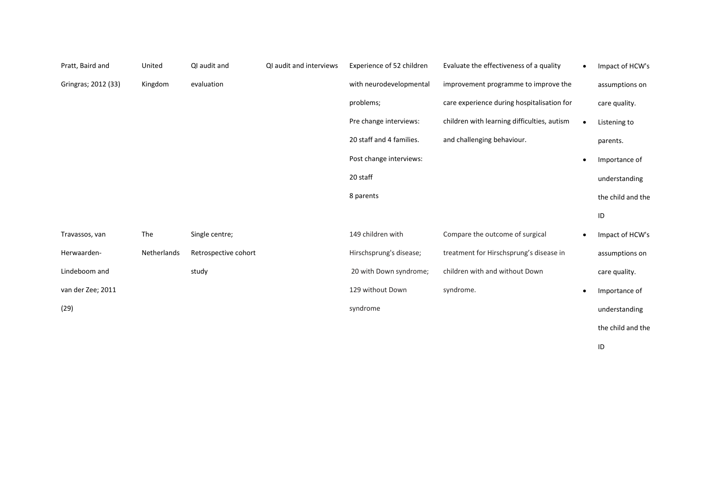| Pratt, Baird and    | United      | QI audit and         | QI audit and interviews | Experience of 52 children | Evaluate the effectiveness of a quality     | $\bullet$ | Impact of HCW's   |
|---------------------|-------------|----------------------|-------------------------|---------------------------|---------------------------------------------|-----------|-------------------|
| Gringras; 2012 (33) | Kingdom     | evaluation           |                         | with neurodevelopmental   | improvement programme to improve the        |           | assumptions on    |
|                     |             |                      |                         | problems;                 | care experience during hospitalisation for  |           | care quality.     |
|                     |             |                      |                         | Pre change interviews:    | children with learning difficulties, autism | $\bullet$ | Listening to      |
|                     |             |                      |                         | 20 staff and 4 families.  | and challenging behaviour.                  |           | parents.          |
|                     |             |                      |                         | Post change interviews:   |                                             | $\bullet$ | Importance of     |
|                     |             |                      |                         | 20 staff                  |                                             |           | understanding     |
|                     |             |                      |                         | 8 parents                 |                                             |           | the child and the |
|                     |             |                      |                         |                           |                                             |           | ID                |
| Travassos, van      | The         | Single centre;       |                         | 149 children with         | Compare the outcome of surgical             | $\bullet$ | Impact of HCW's   |
| Herwaarden-         | Netherlands | Retrospective cohort |                         | Hirschsprung's disease;   | treatment for Hirschsprung's disease in     |           | assumptions on    |
| Lindeboom and       |             | study                |                         | 20 with Down syndrome;    | children with and without Down              |           | care quality.     |
| van der Zee; 2011   |             |                      |                         | 129 without Down          | syndrome.                                   | $\bullet$ | Importance of     |
| (29)                |             |                      |                         | syndrome                  |                                             |           | understanding     |
|                     |             |                      |                         |                           |                                             |           | the child and the |

ID